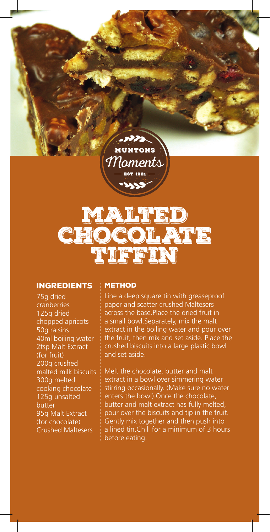**MUNTONS** Moments

בכמה



## **INGREDIENTS**

75g dried cranberries 125g dried chopped apricots 50g raisins 40ml boiling water 2tsp Malt Extract (for fruit) 200g crushed malted milk biscuits 300g melted cooking chocolate 125g unsalted butter 95g Malt Extract (for chocolate) Crushed Maltesers

## **METHOD**

Line a deep square tin with greaseproof paper and scatter crushed Maltesers across the base.Place the dried fruit in a small bowl.Separately, mix the malt extract in the boiling water and pour over the fruit, then mix and set aside. Place the crushed biscuits into a large plastic bowl and set aside.

Melt the chocolate, butter and malt extract in a bowl over simmering water stirring occasionally. (Make sure no water enters the bowl).Once the chocolate, butter and malt extract has fully melted, pour over the biscuits and tip in the fruit. Gently mix together and then push into a lined tin.Chill for a minimum of 3 hours before eating.